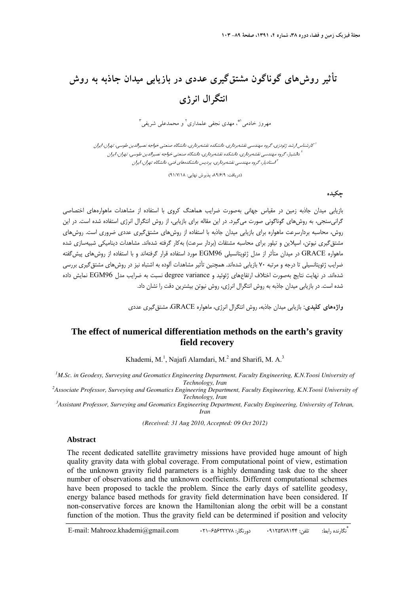# **تأثير روشهاي گوناگون مشتقگيري عددي در بازيابي ميدان جاذبه به روش انتگرال انرژي**

مهروز خادمي <sup>اه</sup>ٌ، مهدي نجفي علمداري <sup>1</sup> و محمدعلي شريفي <sup>۳</sup>

كارشناس ارشد ژئودزي، گروه مهندسي نقشهبرداري، دانشكده نقشهبرداري، دانشگاه صنعتي خواجه نصيرالدين طوسي، تهران، ايران <sup>1</sup> دانشيار، گروه مهندسي نقشهبرداري، دانشكده نقشهبرداري، دانشگاه صنعتي خواجه نصيرالدين طوسي، تهران، ايران <sup>2</sup> استاديار، گروه مهندسي نقشهبرداري، پرديس دانشكدههاي فني، دانشگاه تهران، ايران <sup>3</sup>

(دريافت: ۹۱/۶/۹، پذيرش نهايي: ۹۱/۷/۱۸)

#### **چكيده**

بازيابي ميدان جاذبه زمين در مقياس جهاني بهصورت ضرايب هماهنگ كروي با استفاده از مشاهدات ماهوارههاي اختصاصي گرانيسنجي، به روشهاي گوناگوني صورت ميگيرد. در اين مقاله براي بازيابي، از روش انتگرال انرژي استفاده شده است. در اين روش، محاسبه بردارسرعت ماهواره براي بازيابي ميدان جاذبه با استفاده از روشهاي مشتقگيري عددي ضروري است. روشهاي مشتقگيري نيوتن، اسپلاين و تيلور براي محاسبه مشتقات (بردار سرعت) بهكار گرفته شدهاند. مشاهدات ديناميكي شبيهسازي شده ماهواره GRACE در ميدان متأثر از مدل ژئوپتانسيلي 96EGM مورد استفاده قرار گرفتهاند و با استفاده از روشهاي پيشگفته ضرايب ژئوپتانسيلي تا درجه و مرتبه 70 بازيابي شدهاند. همچنين تأثير مشاهدات آلوده به اشتباه نيز در روشهاي مشتقگيري بررسي شدهاند. در نهايت نتايج بهصورت اختلاف ارتفاعهاي ژئوئيد و variance degree نسبت به ضرايب مدل 96EGM نمايش داده شده است. در بازيابي ميدان جاذبه به روش انتگرال انرژي، روش نيوتن بيشترين دقت را نشان داد.

**واژههاي كليدي:** بازيابي ميدان جاذبه، روش انتگرال انرژي، ماهواره GRACE، مشتقگيري عددي

# **The effect of numerical differentiation methods on the earth's gravity field recovery**

Khademi, M.<sup>1</sup>, Najafi Alamdari, M.<sup>2</sup> and Sharifi, M. A.<sup>3</sup>

<sup>1</sup>M.Sc. in Geodesy, Surveying and Geomatics Engineering Department, Faculty Engineering, K.N.Toosi University of *Technology, Iran 2 Associate Professor, Surveying and Geomatics Engineering Department, Faculty Engineering, K.N.Toosi University of* 

*Technology, Iran 3 Assistant Professor, Surveying and Geomatics Engineering Department, Faculty Engineering, University of Tehran,* 

*Iran* 

*(Received: 31 Aug 2010, Accepted: 09 Oct 2012)* 

### **Abstract**

The recent dedicated satellite gravimetry missions have provided huge amount of high quality gravity data with global coverage. From computational point of view, estimation of the unknown gravity field parameters is a highly demanding task due to the sheer number of observations and the unknown coefficients. Different computational schemes have been proposed to tackle the problem. Since the early days of satellite geodesy, energy balance based methods for gravity field determination have been considered. If non-conservative forces are known the Hamiltonian along the orbit will be a constant function of the motion. Thus the gravity field can be determined if position and velocity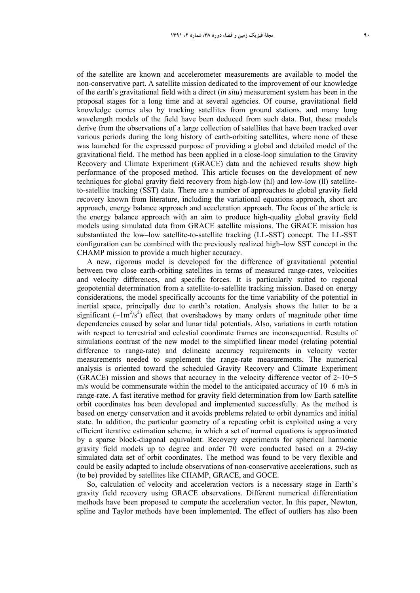of the satellite are known and accelerometer measurements are available to model the non-conservative part. A satellite mission dedicated to the improvement of our knowledge of the earth's gravitational field with a direct (*in situ*) measurement system has been in the proposal stages for a long time and at several agencies. Of course, gravitational field knowledge comes also by tracking satellites from ground stations, and many long wavelength models of the field have been deduced from such data. But, these models derive from the observations of a large collection of satellites that have been tracked over various periods during the long history of earth-orbiting satellites, where none of these was launched for the expressed purpose of providing a global and detailed model of the gravitational field. The method has been applied in a close-loop simulation to the Gravity Recovery and Climate Experiment (GRACE) data and the achieved results show high performance of the proposed method. This article focuses on the development of new techniques for global gravity field recovery from high-low (hl) and low-low (ll) satelliteto-satellite tracking (SST) data. There are a number of approaches to global gravity field recovery known from literature, including the variational equations approach, short arc approach, energy balance approach and acceleration approach. The focus of the article is the energy balance approach with an aim to produce high-quality global gravity field models using simulated data from GRACE satellite missions. The GRACE mission has substantiated the low–low satellite-to-satellite tracking (LL-SST) concept. The LL-SST configuration can be combined with the previously realized high–low SST concept in the CHAMP mission to provide a much higher accuracy.

A new, rigorous model is developed for the difference of gravitational potential between two close earth-orbiting satellites in terms of measured range-rates, velocities and velocity differences, and specific forces. It is particularly suited to regional geopotential determination from a satellite-to-satellite tracking mission. Based on energy considerations, the model specifically accounts for the time variability of the potential in inertial space, principally due to earth's rotation. Analysis shows the latter to be a significant  $(\sim 1 \text{m}^2/\text{s}^2)$  effect that overshadows by many orders of magnitude other time dependencies caused by solar and lunar tidal potentials. Also, variations in earth rotation with respect to terrestrial and celestial coordinate frames are inconsequential. Results of simulations contrast of the new model to the simplified linear model (relating potential difference to range-rate) and delineate accuracy requirements in velocity vector measurements needed to supplement the range-rate measurements. The numerical analysis is oriented toward the scheduled Gravity Recovery and Climate Experiment (GRACE) mission and shows that accuracy in the velocity difference vector of  $2~10-5$ m/s would be commensurate within the model to the anticipated accuracy of 10−6 m/s in range-rate. A fast iterative method for gravity field determination from low Earth satellite orbit coordinates has been developed and implemented successfully. As the method is based on energy conservation and it avoids problems related to orbit dynamics and initial state. In addition, the particular geometry of a repeating orbit is exploited using a very efficient iterative estimation scheme, in which a set of normal equations is approximated by a sparse block-diagonal equivalent. Recovery experiments for spherical harmonic gravity field models up to degree and order 70 were conducted based on a 29-day simulated data set of orbit coordinates. The method was found to be very flexible and could be easily adapted to include observations of non-conservative accelerations, such as (to be) provided by satellites like CHAMP, GRACE, and GOCE.

So, calculation of velocity and acceleration vectors is a necessary stage in Earth's gravity field recovery using GRACE observations. Different numerical differentiation methods have been proposed to compute the acceleration vector. In this paper, Newton, spline and Taylor methods have been implemented. The effect of outliers has also been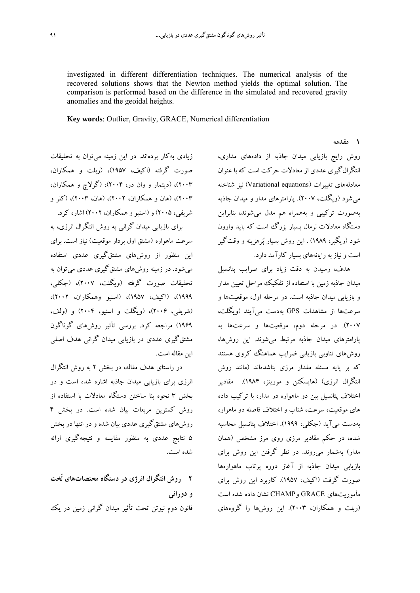investigated in different differentiation techniques. The numerical analysis of the recovered solutions shows that the Newton method yields the optimal solution. The comparison is performed based on the difference in the simulated and recovered gravity anomalies and the geoidal heights.

**Key words**: Outlier, Gravity, GRACE, Numerical differentiation

## **1 مقدمه**

زيادي بهكار بردهاند. در اين زمينه ميتوان به تحقيقات صورت گرفته (اكيف، 1957)، (ربلت و همكاران، 2003)، (ديتمار و وان در، 2004)، (گرلاچ و همكاران، 2003)، (هان و همكاران، 2002)، (هان، 2003)، (كلر و شريفي، 2005) و (اسنيو و همكاران، 2002) اشاره كرد. براي بازيابي ميدان گراني به روش انتگرال انرژي، به سرعت ماهواره (مشتق اول بردار موقعيت) نياز است. براي اين منظور از روشهاي مشتقگيري عددي استفاده ميشود. در زمينه روشهاي مشتقگيري عددي ميتوان به تحقيقات صورت گرفته (ويگلت، 2007)، (جكلي، 1999)، (اكيف، 1957)، (اسنيو وهمكاران، 2002)، (شريفي، 2006)، (ويگلت و اسنيو، 2004) و (ولف، 1969) مراجعه كرد. بررسي تأثير روشهاي گوناگون مشتقگيري عددي در بازيابي ميدان گراني هدف اصلي

اين مقاله است. در راستاي هدف مقاله، در بخش 2 به روش انتگرال انرژي براي بازيابي ميدان جاذبه اشاره شده است و در بخش 3 نحوه بنا ساختن دستگاه معادلات با استفاده از روش كمترين مربعات بيان شده است. در بخش 4 روشهاي مشتقگيري عددي بيان شده و در انتها در بخش 5 نتايج عددي به منظور مقايسه و نتيجهگيري ارائه شده است.

**2 روش انتگرال انرژي در دستگاه مختصاتهاي لَخت و دوراني**  قانون دوم نيوتن تحت تأثير ميدان گراني زمين در يك

روش رايج بازيابي ميدان جاذبه از دادههاي مداري، انتگرالگيري عددي از معادلات حركت است كه با عنوان معادلههاي تغييرات (equations Variational (نيز شناخته ميشود (ويگلت، 2007). پارامترهاي مدار و ميدان جاذبه بهصورت تركيبي و بههمراه هم مدل ميشوند، بنابراين دستگاه معادلات نرمال بسيار بزرگ است كه بايد وارون شود (ريگبر، 1989) . اين روش بسيار پرهزينه و وقتگير است ونياز به رايانههاي بسيار كارآمد دارد.

هدف، رسيدن به دقت زياد براي ضرايب پتانسيل ميدان جاذبه زمين با استفاده از تفكيك مراحل تعيين مدار و بازيابي ميدان جاذبه است. در مرحله اول، موقعيتها و سرعتها از مشاهدات GPS بهدست ميآيند (ويگلت، 2007). در مرحله دوم، موقعيتها و سرعتها به پارامترهاي ميدان جاذبه مرتبط ميشوند. اين روشها، روشهاي تناوبي بازيابي ضرايب هماهنگ كروي هستند كه بر پايه مسئله مقدار مرزي بناشدهاند (مانند روش انتگرال انرژي) (هايسكنن و موريتز، 1984). مقادير اختلاف پتانسيل بين دو ماهواره در مدار، با تركيب داده هاي موقعيت، سرعت، شتاب و اختلاف فاصله دو ماهواره بهدست ميآيد (جكلي، 1999). اختلاف پتانسيل محاسبه شده، در حكم مقادير مرزي روي مرز مشخص (همان مدار) بهشمار ميروند. در نظر گرفتن اين روش براي بازيابي ميدان جاذبه از آغاز دوره پرتاب ماهوارهها صورت گرفت (اكيف، 1957). كاربرد اين روش براي مأموريتهاي GRACE وCHAMP نشان داده شده است (ربلت و همكاران، 2003). اين روشها را گروههاي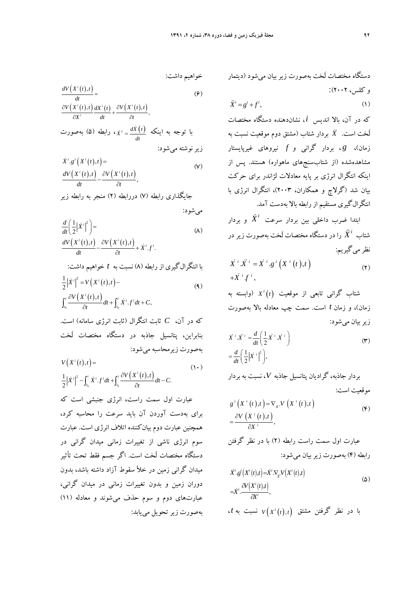دستگاه مختصات لَخت بهصورت زير بيان ميشود (ديتمار

$$
\ddot{X}^i = g^i + f^i,\tag{1}
$$

كه در آن، بالا انديس *i*، نشاندهنده دستگاه مختصات بردار (مشتق دوم موقعيت نسبت به شتاب لَخت است. *<sup>X</sup>* زمان)، *g* ، بردار گراني و *f* نيروهاي غيرپايستار مشاهدهشده (از شتابسنجهاي ماهواره) هستند. پس از اينكه انتگرال انرژي بر پايه معادلات لژاندر براي حركت بيان شد (گرلاچ و همكاران، 2003)، انتگرال انرژي با انتگرالگيري مستقيم از رابطه بالا بهدست آمد.

<sup>و</sup> بردار *<sup>X</sup> <sup>i</sup>* ابتدا ضرب داخلي بين بردار سرعت را در دستگاه مختصات لَخت بهصورت زير در *<sup>X</sup> <sup>i</sup>* شتاب نظر مي گيريم:

$$
\dot{X}^i \ddot{X}^i = \dot{X}^i \cdot g^i \left( X^i \left( t \right), t \right) \n+ \dot{X}^i f^i, \tag{7}
$$

*t X*) وابسته به *<sup>i</sup>* شتاب گراني تابعي از موقعيت زمان)، و زمان *t* است. سمت چپ معادله بالا بهصورت زيربيان ميشود:

$$
\dot{X}^i \ddot{X}^i = \frac{d}{dt} \left( \frac{1}{2} \dot{X}^i \dot{X}^i \right)
$$
  
= 
$$
\frac{d}{dt} \left( \frac{1}{2} |\dot{X}^i|^2 \right),
$$
 (7)

بردار جاذبه، گراديان پتانسيل جاذبه *V*، نسبت به بردار موقعيت است:

$$
g^{i}\left(X^{i}\left(t\right),t\right)=\nabla_{X^{i}}V\left(X^{i}\left(t\right),t\right)
$$
\n
$$
=\frac{\partial V\left(X^{i}\left(t\right),t\right)}{\partial X^{i}},\tag{\mathfrak{F}}
$$

عبارت اول سمت راست رابطه (2) با در نظر گرفتن رابطه (4) بهصورت زيربيان ميشود:

$$
\dot{X}^{i}.g^{i}\left(X^{i}(t),t\right) = \dot{X}^{i}.\nabla_{X}V\left(X^{i}(t),t\right)
$$
\n
$$
= \dot{X}^{i}.\frac{\partial V\left(X^{i}(t),t\right)}{\partial t^{i}},
$$
\n
$$
\begin{aligned}\n\text{c.t} & \text{if } V\left(X^{i}(t),t\right) \quad \text{if } V\left(X^{i}(t),t\right) \\
\text{if } V\left(X^{i}(t),t\right) & \text{if } V\left(X^{i}(t),t\right) \\
\text{if } V\left(X^{i}(t),t\right) & \text{if } V\left(X^{i}(t),t\right) \\
\text{if } V\left(X^{i}(t),t\right) & \text{if } V\left(X^{i}(t),t\right) \\
\text{if } V\left(X^{i}(t),t\right) & \text{if } V\left(X^{i}(t),t\right) \\
\text{if } V\left(X^{i}(t),t\right) & \text{if } V\left(X^{i}(t),t\right) \\
\text{if } V\left(X^{i}(t),t\right) & \text{if } V\left(X^{i}(t),t\right) \\
\text{if } V\left(X^{i}(t),t\right) & \text{if } V\left(X^{i}(t),t\right) \\
\text{if } V\left(X^{i}(t),t\right) & \text{if } V\left(X^{i}(t),t\right) \\
\text{if } V\left(X^{i}(t),t\right) & \text{if } V\left(X^{i}(t),t\right) \\
\text{if } V\left(X^{i}(t),t\right) & \text{if } V\left(X^{i}(t),t\right) & \text{if } V\left(X^{i}(t),t\right) \\
\text{if } V\left(X^{i}(t),t\right) & \text{if } V\left(X^{i}(t),t\right) & \text{if } V\left(X^{i}(t),t\right) \\
\text{if } V\left(X^{i}(t),t\right) & \text{if } V\left(X^{i}(t),t\right) & \text{if } V\left(X^{i}(t),t\right) & \text{if } V\left(X^{i}(t),t\right) \\
\text{if } V\left(X^{i}(t),t\right) & \text{if } V\left(X^{i}(t),t\right) & \text{if } V\left(X^{i}(t),t\right) & \text{if } V\left(X^{i}(t),t\
$$

خواهيم داشت:

$$
\frac{dV(X^{i}(t),t)}{dt} = \frac{\partial V(X^{i}(t),t)}{\partial X^{i}} \frac{dX^{i}(t)}{dt} + \frac{\partial V(X^{i}(t),t)}{\partial t},
$$
\n
$$
\frac{dV(X^{i}(t),t)}{dt} \frac{dX(t)}{dt} = \frac{dX(t)}{dt} \quad \text{if } t \geq 0
$$
\n
$$
\frac{dV(X^{i}(t),t)}{dt} = \frac{dX(t)}{dt} \quad \text{if } t \geq 0
$$
\n
$$
\frac{dV(X^{i}(t),t)}{dt} = \frac{dV(X^{i}(t),t)}{dt} = \frac{dV(X^{i}(t),t)}{dt} = \frac{dV(X^{i}(t),t)}{dt} = \frac{dV(X^{i}(t),t)}{dt} = \frac{dV(X^{i}(t),t)}{dt} = \frac{dV(X^{i}(t),t)}{dt} = \frac{dV(X^{i}(t),t)}{dt} = \frac{dV(X^{i}(t),t)}{dt} = \frac{dV(X^{i}(t),t)}{dt} = \frac{dV(X^{i}(t),t)}{dt} = \frac{dV(X^{i}(t),t)}{dt} = \frac{dV(X^{i}(t),t)}{dt} = \frac{dV(X^{i}(t),t)}{dt} = \frac{dV(X^{i}(t),t)}{dt} = \frac{dV(X^{i}(t),t)}{dt} = \frac{dV(X^{i}(t),t)}{dt} = \frac{dV(X^{i}(t),t)}{dt} = \frac{dV(X^{i}(t),t)}{dt} = \frac{dV(X^{i}(t),t)}{dt} = \frac{dV(X^{i}(t),t)}{dt} = \frac{dV(X^{i}(t),t)}{dt} = \frac{dV(X^{i}(t),t)}{dt} = \frac{dV(X^{i}(t),t)}{dt} = \frac{dV(X^{i}(t),t)}{dt} = \frac{dV(X^{i}(t),t)}{dt} = \frac{dV(X^{i}(t),t)}{dt} = \frac{dV(X^{i}(t),t)}{dt} = \frac{dV(X^{i}(t),t)}{dt} = \frac{dV(X^{i}(t),t)}{dt} = \frac{dV(X^{i}(t),t)}{dt} = \frac{dV(X^{i}(t),t)}{dt} = \frac{dV(X^{i}(t),t)}{dt} = \frac{dV(X^{i}(t),t)}{dt
$$

$$
X^{i} \cdot g^{i}(X^{i}(t), t) =
$$
\n
$$
\frac{dV(X^{i}(t), t)}{dt} - \frac{\partial V(X^{i}(t), t)}{\partial t},
$$
\n
$$
(V)
$$

جايگذاري رابطه (7) دررابطه (2) منجر به رابطه زير

ميشود:

$$
\frac{d}{dt} \left( \frac{1}{2} |\dot{X}^i|^2 \right) =
$$
\n
$$
\frac{dV(X^i(t),t)}{dt} - \frac{\partial V(X^i(t),t)}{\partial t} + \dot{X}^i \cdot f^i.
$$
\n(A)

 $\overline{\partial t}$ 

$$
\begin{aligned}\n\text{if } \mathbf{z} &= \mathbf{z} \quad \text{if } \mathbf{z} \text{ and } \mathbf{z} \text{ is } t & \text{if } \mathbf{z} \text{ is } t \\
\text{if } \mathbf{z} \text{ is } \mathbf{z} \text{ is } t & \text{if } \mathbf{z} \text{ is } t\n\end{aligned}
$$
\n
$$
\int_{t_0}^{t} \frac{\partial V\left(X^i(t), t\right)}{\partial t} dt + \int_{t_0}^{t} \dot{X}^i \cdot f^i dt + C,
$$
\n(4)

كه در آن، *C* ثابت انتگرال (ثابت انرژي سامانه) است. بنابراين، پتانسيل جاذبه در دستگاه مختصات لَخت بهصورت زيرمحاسبه ميشود:

$$
V(X^i(t),t) = \tag{1}
$$

$$
\frac{1}{2}|\dot{X}^i|^2 - \int_{t_0}^t \dot{X}^i \cdot f^i dt + \int_{t_0}^t \frac{\partial V(X^i(t),t)}{\partial t} dt - C.
$$

عبارت اول سمت راست، انرژي جنبشي است كه براي بهدست آوردن آن بايد سرعت را محاسبه كرد، همچنين عبارت دوم بيانكننده اتلاف انرژي است. عبارت سوم انرژي ناشي از تغييرات زماني ميدان گراني در دستگاه مختصات لَخت است. اگر جسم فقط تحت تأثير ميدان گراني زمين در خلأ سقوط آزاد داشته باشد، بدون دوران زمين و بدون تغييرات زماني در ميدان گراني، عبارتهاي دوم و سوم حذف ميشوند و معادله (11) بهصورت زيرتحويل مييابد: و كلس، 2002):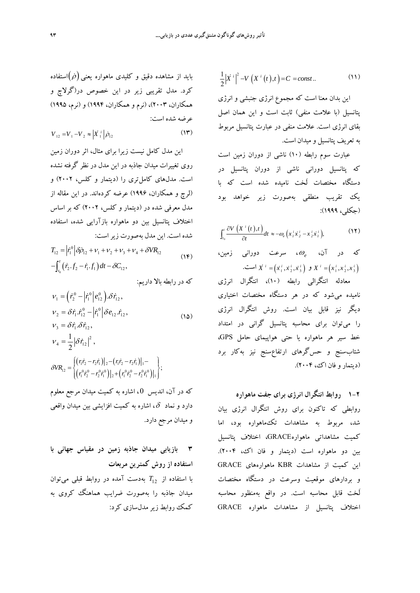$$
\frac{1}{2}|\dot{X}^i|^2 - V(X^i(t),t) = C = const.. \tag{11}
$$

اين بدان معنا است كه مجموع انرژي جنبشي و انرژي پتانسيل (با علامت منفي) ثابت است و اين همان اصل بقاي انرژي است. علامت منفي در عبارت پتانسيل مربوط به تعريف پتانسيل و ميدان است.

عبارت سوم رابطه (10) ناشي از دوران زمين است كه پتانسيل دوراني ناشي از دوران پتانسيل در دستگاه مختصات لَخت ناميده شده است كه با يك تقريب منطقي بهصورت زير خواهد بود (جكلي، 1999):

$$
\int_{t_0}^t \frac{\partial V\left(X^i\left(t\right),t\right)}{\partial t} dt \approx -\omega_e \left(x^i_i \dot{x}^i_2 - x^i_2 \dot{x}^i_i\right),\tag{17}
$$

که در آن، 
$$
\omega_e
$$
 شرعت دورانی زمین،  
 $X^i = (x_1^i, x_2^i, x_3^i) \circ X^i = (x_1^i, x_2^i, x_3^i)$ 

معادله انتگرالي رابطه (10)، انتگرال انرژي ناميده ميشود كه در هر دستگاه مختصات اختياري ديگر نيز قابل بيان است. روش انتگرال انرژي را ميتوان براي محاسبه پتانسيل گراني در امتداد خط سير هر ماهواره يا حتي هواپيماي حامل GPS، شتابسنج و حسگرهاي ارتفاعسنج نيز بهكار برد (ديتمار و فان اك، 2004).

**1-2 روابط انتگرال انرژي براي جفت ماهواره** روابطي كه تاكنون براي روش انتگرال انرژي بيان شد، مربوط به مشاهدات تكماهواره بود، اما كميت مشاهداتي ماهوارهGRACE، اختلاف پتانسيل بين دو ماهواره است (ديتمار و فان اك، 2004). اين كميت از مشاهدات KBR ماهوارههاي GRACE و بردارهاي موقعيت وسرعت در دستگاه مختصات لَخت قابل محاسبه است. در واقع بهمنظور محاسبه اختلاف پتانسيل از مشاهدات ماهواره GRACE

بايد از مشاهده دقيق و كليدي ماهواره يعني استفاده كرد. مدل تقريبي زير در اين خصوص در(گرلاچ و همكاران، 2003)، (نرم و همكاران، 1994) و (نرم، 1995) عرضه شده است:

$$
V_{12} = V_1 - V_2 \approx |\dot{X}_1^i| \dot{\rho}_{12}
$$
 (17)

اين مدل كامل نيست زيرا براي مثال، اثر دوران زمين روي تغييرات ميدان جاذبه در اين مدل در نظر گرفته نشده است. مدلهاي كاملتري را (ديتمار و كلس، 2002) و (لرچ و همكاران، 1996) عرضه كردهاند. در اين مقاله از مدل معرفي شده در (ديتمار و كلس، 2002) كه بر اساس اختلاف پتانسيل بين دو ماهواره بازآرايي شده، استفاده شده است. اين مدل بهصورت زيراست:

$$
T_{12} = |\dot{r}_1^0| \delta \dot{\rho}_{12} + v_1 + v_2 + v_3 + v_4 + \delta V R_{12}
$$
  
 
$$
- \int_{t_0}^t (\dot{r}_2 \cdot f_2 - \dot{r}_1 \cdot f_1) dt - \delta C_{12},
$$
 (15)

كه در رابطه بالا داريم:

$$
\nu_{1} = \left(\dot{r}_{2}^{0} - \left|\dot{r}_{1}^{0}\right|e_{12}^{0}\right).\delta\dot{r}_{12},
$$
\n
$$
\nu_{2} = \delta\dot{r}_{1}.\dot{r}_{12}^{0} - \left|\dot{r}_{1}^{0}\right|\delta e_{12}.\dot{r}_{12},
$$
\n
$$
\nu_{3} = \delta\dot{r}_{1}.\delta\dot{r}_{12},
$$
\n
$$
\nu_{4} = \frac{1}{2}\left|\delta\dot{r}_{12}\right|^{2},
$$
\n
$$
\delta V R_{12} = \left\{\left(\frac{r_{1}\dot{r}_{2} - r_{2}\dot{r}_{1}}{r_{1}\dot{r}_{2} - r_{2}\dot{r}_{1}}\right)_{1} - \left(\frac{r_{1}\dot{r}_{2} - r_{2}\dot{r}_{1}}{r_{1}\dot{r}_{2} - r_{2}\dot{r}_{1}}\right)_{1}\right\};
$$
\n(12)

كه در آن، انديس 0 ، اشاره به كميت ميدان مرجع معلوم دارد و نماد  $\,\delta$ ، اشاره به كميت افزايشي بين ميدان واقعي و ميدان مرجع دارد.

**3 بازيابي ميدان جاذبه زمين در مقياس جهاني با استفاده از روش كمترين مربعات**  *T* بهدست آمده در روابط قبلي ميتوان <sup>12</sup> با استفاده از ميدان جاذبه را بهصورت ضرايب هماهنگ كروي به كمك روابط زيرمدلسازي كرد: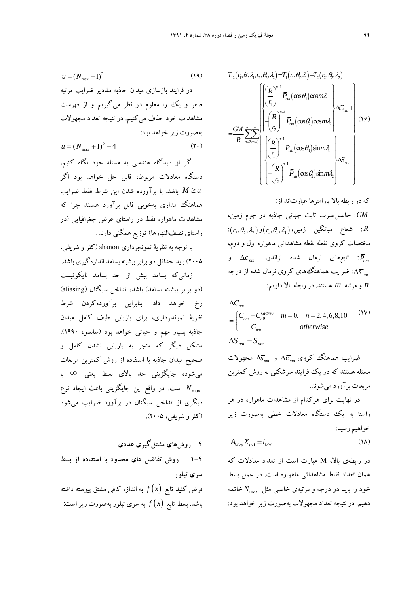$$
T_{12}(r_1, \theta, \lambda, r_2, \theta_2, \lambda_2) = T_1(r_1, \theta, \lambda_1) - T_2(r_2, \theta_2, \lambda_2)
$$
\n
$$
= \frac{GM}{R} \sum_{n=2m=0}^{\infty} \left\{\n\begin{bmatrix}\n\left(\frac{R}{r_1}\right)^{n+1} \bar{P}_m(\cos\theta_1)\cos m\lambda_1 \\
-\left(\frac{R}{r_2}\right)^{n+1} \bar{P}_m(\cos\theta_2)\cos m\lambda_2\n\end{bmatrix}\n\right\} \Delta C_{mn} + \left\{\n\begin{bmatrix}\n\left(\frac{R}{r_1}\right)^{n+1} \bar{P}_m(\cos\theta_1)\sin m\lambda_1 \\
-\left(\frac{R}{r_2}\right)^{n+1} \bar{P}_m(\cos\theta_1)\sin m\lambda_1 \\
-\left(\frac{R}{r_2}\right)^{n+1} \bar{P}_m(\cos\theta_2)\sin m\lambda_2\n\end{bmatrix}\n\right\}
$$
\n(19)

كه در رابطه بالا پارامترها عبارتاند از: *GM*: حاصلضرب ثابت جهاني جاذبه در جرم زمين، : شعاع ميانگين زمين، $(r_1, \theta_1, \lambda_1)$ و  $(r_2, \theta_2, \lambda_2)$ : R مختصات كروي نقطه نقطه مشاهداتي ماهواره اول و دوم،  $\Delta \bar{c}_{\tiny \it mm}$  : تابعهاي نرمال شده لژاندر،  $\bar{P}_{\tiny \it mm}$  و : *s* : ضرايب هماهنگهاي كروي نرمال شده از درجه *nm n* و مرتبه *m* هستند. در رابطه بالا داريم:

$$
\Delta \overline{C}_{nm}
$$
\n
$$
= \begin{cases}\n\overline{C}_{nm} - \overline{C}_{n0}^{GRS80} & m = 0, \quad n = 2, 4, 6, 8, 10\n\end{cases}
$$
\n
$$
\Delta \overline{S}_{nm} = \overline{S}_{nm}
$$
\n(1V) otherwise

ضرايب هماهنگ كروي *nm c* و *snm* مجهولات مسئله هستند كه در يك فرايند سرشكني به روش كمترين مربعات برآورد ميشوند.

در نهايت براي هركدام از مشاهدات ماهواره در هر راستا به يك دستگاه معادلات خطي بهصورت زير خواهيم رسيد:

$$
A_{M \times u} X_{u \times 1} = l_{M \times 1} \tag{1A}
$$

در رابطهي بالا، M عبارت است از تعداد معادلات كه همان تعداد نقاط مشاهداتي ماهواره است. در عمل بسط خود را بايد در درجه و مرتبهي خاصي مثل *N*max خاتمه دهيم. در نتيجه تعداد مجهولات بهصورت زير خواهد بود:

 $(19)$  $u = (N_{\text{max}} + 1)^2$ در فرايند بازسازي ميدان جاذبه مقادير ضرايب مرتبه صفر و يك را معلوم در نظر ميگيريم و از فهرست مشاهدات خود حذف ميكنيم. در نتيجه تعداد مجهولات بهصورت زير خواهد بود:  $u = (N_{\text{max}} + 1)^2 - 4$  (**1**)

اگر از ديدگاه هندسي به مسئله خود نگاه كنيم، دستگاه معادلات مربوط، قابل حل خواهد بود اگر *u M* باشد. با برآورده شدن اين شرط فقط ضرايب هماهنگ مداري بهخوبي قابل برآورد هستند چرا كه مشاهدات ماهواره فقط در راستاي عرض جغرافيايي (در راستاي نصفالنهارها) توزيع همگني دارند.

با توجه به نظرية نمونهبرداري shanon) كلر و شريفي، 2005) بايد حداقل دو برابربيشينه بسامد اندازهگيري باشد. زمانيكه بسامد بيش از حد بسامد نايكوئيست (دو برابر بيشينه بسامد) باشد، تداخل سيگنال (aliasing ( رخ خواهد داد. بنابراين برآوردهكردن شرط نظرية نمونهبرداري، براي بازيابي طيف كامل ميدان جاذبه بسيار مهم و حياتي خواهد بود (سانسو، 1990). مشكل ديگر كه منجر به بازيابي نشدن كامل و صحيح ميدان جاذبه با استفاده از روش كمترين مربعات ميشود، جايگزيني حد بالاي بسط يعني با . در واقع اين جايگزيني باعث ايجاد نوع *N*max است ديگري از تداخل سيگنال در برآورد ضرايب ميشود (كلرو شريفي، 2005).

**4 روشهاي مشتقگيري عددي -4 1 روش تفاضل هاي محدود با استفاده از بسط سري تيلور**  فرض كنيد تابع *x f* به اندازه كافي مشتق پيوسته داشته باشد. بسط تابع *x f* به سري تيلور بهصورت زيراست: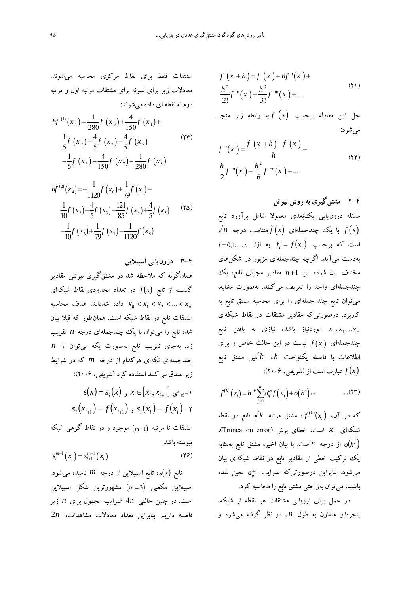$$
f(x+h)=f(x)+hf'(x)+
$$
  

$$
\frac{h^2}{2!}f''(x)+\frac{h^3}{3!}f'''(x)+...
$$
 (Y1)

حل اين معادله برحسب *x* '*f* به رابطه زير منجر ميشود:

$$
f'(x) = \frac{f(x+h)-f(x)}{h}
$$
  

$$
\frac{h}{2}f''(x) - \frac{h^2}{6}f'''(x) + ...
$$
 (17)

۴–۴ مشتق گیری به روش نیوتن  
مستله درونیابی یکئبُعدی معمولا شامل برآورد تابع  
امت که برحسب
$$
\tilde{f}(x)
$$
 جندجملهای  
 $i = 0,1,...,n$  زا. اگرچه چندجملهای  
بادست میآید. اگرچه چندجملهای مزبور در شکلهای  
مختلف بیان شود، این 1+n مقادیر مجرای تابع، یک  
چندجملهای واحد را تعریف میکنند. بهصورت مشابه،  
میتوان تابع چند جملهای را برای محاسبه مشتق تابع به  
میتوان تابع چند جملهای را برای محاس به شنتق تابع به  
کاربرد. درصورتی که مقادیر مشتقات در نقاط شبکهای  
چندجملهای  $x_0, x_1,...x_n$   
جندجملهای (۲/ بیست در این حالت خاص و برای  
اطلاعات با فاصله یکنواخت ندا نیز مفان مشنتق تابع

$$
f^{(k)}(x_i) = h^{-k} \sum_{j=0}^{n} a_{ij}^{ks} f(x_j) + o(h^s) \dots \qquad \qquad \dots (\mathbf{Y} \mathbf{Y})
$$

،آن در كه *<sup>i</sup> x f* ، مشتق مرتبه *k* اُم تابع در نقطه *<sup>k</sup> x* است، خطاي برش (error Truncation(، *<sup>i</sup>* شبكهاي *<sup>h</sup> <sup>o</sup>* از درجه *s*است. با بيان اخير، مشتق تابع بهمثابة *<sup>s</sup>* يك تركيب خطي از مقادير تابع در نقاط شبكهاي بيان می شود. بنابراين درصورتی *كه* ضرايب  $a^{ks}_{ij}$  معين شده باشند، ميتوان بهراحتي مشتق تابع را محاسبه كرد.

در عمل براي ارزيابي مشتقات هر نقطه از شبكه، پنجرهاي متقارن به طول *n* ، در نظر گرفته ميشود و

مشتقات فقط براي نقاط مركزي محاسبه ميشوند. معادلات زير براي نمونه براي مشتقات مرتبه اول و مرتبه دوم نه نقطه اي داده ميشوند:

$$
hf^{(1)}(x_4) = \frac{1}{280}f(x_0) + \frac{4}{150}f(x_1) +
$$
  

$$
\frac{1}{5}f(x_2) - \frac{4}{5}f(x_3) + \frac{4}{5}f(x_5)
$$
  

$$
-\frac{1}{5}f(x_6) - \frac{4}{150}f(x_7) - \frac{1}{280}f(x_8)
$$
 (YF)

$$
hf^{(2)}(x_4) = -\frac{1}{1120}f(x_0) + \frac{1}{79}f(x_1) -
$$
  

$$
\frac{1}{10}f(x_2) + \frac{4}{5}f(x_3) - \frac{121}{85}f(x_4) + \frac{4}{5}f(x_5)
$$
 (12)  

$$
-\frac{1}{10}f(x_6) + \frac{1}{79}f(x_7) - \frac{1}{1120}f(x_8)
$$

**-4 3 درونيابي اسپيلاين** 

همانگونه كه ملاحظه شد در مشتقگيري نيوتني مقادير گسسته از تابع *x f* در تعداد محدودي نقاط شبكهاي داده شدهاند. هدف محاسبه  $x_0 < x_1 < x_2 < ... < x_n$ مشتقات تابع در نقاط شبكه است. همانطور كه قبلا بيان شد، تابع را ميتوان با يك چندجملهاي درجه *n* تقريب زد. بهجاي تقريب تابع بهصورت يكه ميتوان از *n* چندجملهاي تكهاي هركدام از درجه *m* كه در شرايط زير صدق ميكنند استفاده كرد (شريفي، 2006):  $s(x) = s_i(x)$  **c**  $x \in [x_i, x_{i+1}]$  و  $i$  $s_i(x_{i+1}) = f(x_{i+1})$ ,  $s_i(x_i) = f(x_i) - f(x_i)$ مشتقات تا مرتبه 1*m* موجود و در نقاط گرهي شبكه پيوسته باشد.

$$
s_i^{m-1}(x_i) = s_{i+1}^{m-1}(x_i)
$$
 (19)

تابع *x s*، تابع اسپيلاين از درجه *m* ناميده ميشود. اسپيلاين مكعبي 3 *m* مشهورترين شكل اسپيلاين است. در چنين حالتي *n*4 ضرايب مجهول براي *n* زير فاصله داريم. بنابراين تعداد معادلات مشاهدات، *n*2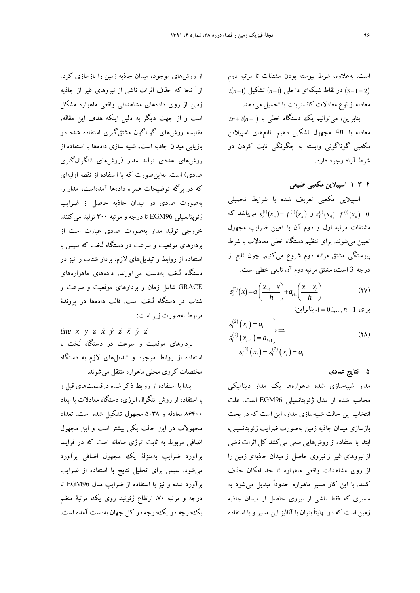است. بهعلاوه، شرط پيوسته بودن مشتقات تا مرتبه دوم  $2(n-1)$  در نقاط شبكهاي داخلي  $(n-1)$  تشكيل  $(3-1=2)$ معادله از نوع معادلات كانسترينت يا تحميل ميدهد.

بنابراين، ميتوانيم يك دستگاه خطي با 1 *n*2 *n*2 معادله با *n*4 مجهول تشكيل دهيم. تابعهاي اسپيلاين مكعبي گوناگوني وابسته به چگونگي ثابت كردن دو شرط آزاد وجود دارد.

 **-4 -1-3اسپيلاين مكعبي طبيعي**

اسپيلاين مكعبي تعريف شده با شرايط تحميلي و  $s_n^{(1)}(x_n) = f^{(1)}(x_n)$  و  $s_1^{(1)}(x_0) = f^{(1)}(x_n) = 0$  میباشد که مشتقات مرتبه اول و دوم آن با تعيين ضرايب مجهول تعيين ميشوند. براي تنظيم دستگاه خطي معادلات با شرط پيوستگي مشتق مرتبه دوم شروع ميكنيم. چون تابع از درجه 3 است، مشتق مرتبه دوم آن تابعي خطي است.

$$
s_i^{(2)}(x) = a_i \left(\frac{x_{i+1} - x}{h}\right) + a_{i+1} \left(\frac{x - x_i}{h}\right)
$$
 (YV)

$$
i = 0, 1, ..., n - 1
$$
 بنابراین:

$$
s_i^{(2)}(x_i) = a_i
$$
  
\n
$$
s_i^{(2)}(x_{i+1}) = a_{i+1}
$$
  
\n
$$
s_{i-1}^{(2)}(x_i) = s_i^{(2)}(x_i) = a_i
$$
\n(YA)

**5 نتايج عددي** 

مدار شبيهسازي شده ماهوارهها يك مدار ديناميكي محاسبه شده از مدل ژئوپتانسيلي 96EGM است. علت انتخاب اين حالت شبيهسازي مدار، اين است كه در بحث بازسازي ميدان جاذبه زمين بهصورت ضرايب ژئوپتانسيلي، ابتدا با استفاده از روشهايي سعي ميكنند كل اثرات ناشي از نيروهاي غير از نيروي حاصل از ميدان جاذبهي زمين را از روي مشاهدات واقعي ماهواره تا حد امكان حذف كنند. با اين كار مسير ماهواره حدوداً تبديل ميشود به مسيري كه فقط ناشي از نيروي حاصل از ميدان جاذبه زمين است كه در نهايتاً بتوان با آناليز اين مسير و با استفاده

از روشهاي موجود، ميدان جاذبه زمين را بازسازي كرد. از آنجا كه حذف اثرات ناشي از نيروهاي غير از جاذبه زمين از روي دادههاي مشاهداتي واقعي ماهواره مشكل است و از جهت ديگر به دليل اينكه هدف اين مقاله، مقايسه روشهاي گوناگون مشتقگيري استفاده شده در بازيابي ميدان جاذبه است، شبيه سازي دادهها با استفاده از روشهاي عددي توليد مدار (روشهاي انتگرالگيري عددي) است. بهاينصورت كه با استفاده از نقطه اوليهاي كه در برگه توضيحات همراه دادهها آمدهاست، مدار را بهصورت عددي در ميدان جاذبه حاصل از ضرايب ژئوپتانسيلي 96EGM تا درجه و مرتبه 300 توليد ميكنند. خروجي توليد مدار بهصورت عددي عبارت است از بردارهاي موقعيت و سرعت در دستگاه لَخت كه سپس با استفاده از روابط و تبديلهاي لازم، بردار شتاب را نيز در دستگاه لَخت بهدست ميآورند. دادههاي ماهوارههاي GRACE شامل زمان و بردارهاي موقعيت و سرعت و شتاب در دستگاه لَخت است. قالب دادهها در پروندة مربوط بهصورت زيراست:

 *time x y z x y z x y z* بردارهاي موقعيت و سرعت در دستگاه لَخت با استفاده از روابط موجود و تبديلهاي لازم به دستگاه مختصات كروي محلي ماهواره منتقل ميشوند.

ابتدا با استفاده از روابط ذكر شده درقسمتهاي قبل و با استفاده از روش انتگرال انرژي، دستگاه معادلات با ابعاد 86400 معادله و 5038 مجهول تشكيل شده است. تعداد مجهولات در اين حالت يكي بيشتر است و اين مجهول اضافي مربوط به ثابت انرژي سامانه است كه در فرايند برآورد ضرايب بهمنزلة يك مجهول اضافي برآورد ميشود. سپس براي تحليل نتايج با استفاده از ضرايب برآورد شده و نيز با استفاده از ضرايب مدل 96EGM تا درجه و مرتبه ،70 ارتفاع ژئوئيد روي يك مرتبة منظم يكدرجه در يكدرجه در كل جهان بهدست آمده است.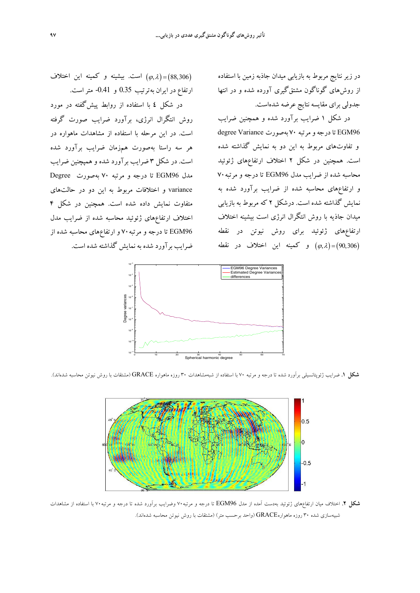در زير نتايج مربوط به بازيابي ميدان جاذبه زمين با استفاده از روشهاي گوناگون مشتقگيري آورده شده و در انتها جدولي براي مقايسه نتايج عرضه شدهاست.

در شكل 1 ضرايب برآورد شده و همچنين ضرايب degree Variance بهصورت 70 تادرجهومرتبه EGM96 و تفاوتهاي مربوط به اين دو به نمايش گذاشته شده است. همچنين در شكل 2 اختلاف ارتفاعهاي ژئوئيد محاسبه شده از ضرايب مدل 96EGM تا درجه و مرتبه70 و ارتفاعهاي محاسبه شده از ضرايب برآورد شده به نمايش گذاشته شده است. درشكل 2 كه مربوط به بازيابي ميدان جاذيه با روش انتگرال انرژي است بيشينه اختلاف ارتفاعهاي ژئوئيد براي روش نيوتن در نقطه و كمينه اين اختلاف در نقطه ( $(\varphi, \lambda)$ =(90,306)

است. بيشينه و كمينه اين اختلاف  $(\varphi, \lambda)$  (88,306) ارتفاع در ايران بهترتيب 0.35 و -0.41 متراست.

در شكل **4** با استفاده از روابط پيشگفته در مورد روش انتگرال انرژي، برآورد ضرايب صورت گرفته است. در اين مرحله با استفاده از مشاهدات ماهواره در هر سه راستا بهصورت همزمان ضرايب برآورد شده است. در شكل 3 ضرايب برآورد شده و همپچنين ضرايب مدل 96EGM تا درجه و مرتبه 70 بهصورت Degree variance و اختلافات مربوط به اين دو در حالتهاي متفاوت نمايش داده شده است. همچنين در شكل 4 اختلاف ارتفاعهاي ژئوئيد محاسبه شده از ضرايب مدل 96EGM تا درجه و مرتبه70 و ارتفاعهاي محاسبه شده از ضرايب برآورد شده به نمايش گذاشته شده است.



**شكل .1** ضرايب ژئوپتانسيلي برآورد شده تا درجه و مرتبه 70 با استفاده از شبهمشاهدات 30 روزه ماهواره GRACE) مشتقات با روش نيوتن محاسبه شدهاند).



**شكل .2** اختلاف ميان ارتفاعهاي ژئوئيد بهدست آمده از مدل 96EGM تا درجه و مرتبه70 وضرايب برآورد شده تا درجه و مرتبه70 با استفاده از مشاهدات شبيهسازي شده 30 روزه ماهوارهGRACE) واحد برحسب متر) (مشتقات با روش نيوتن محاسبه شدهاند).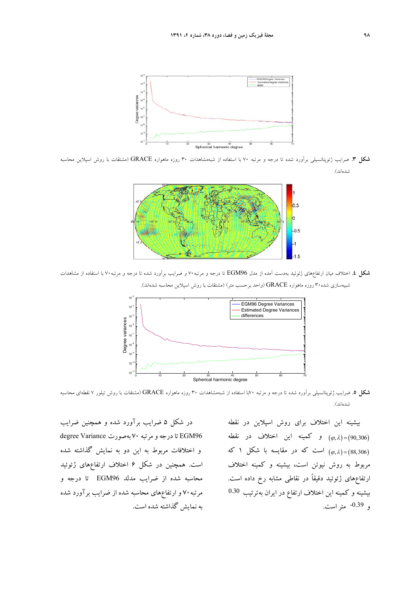

**شكل .3** ضرايب ژئوپتانسيلي برآورد شده تا درجه و مرتبه 70 با استفاده از شبهمشاهدات 30 روزه ماهواره GRACE) مشتقات با روش اسپلاين محاسبه شدهاند).



**شكل .4** اختلاف ميان ارتفاعهاي ژئوئيد بهدست آمده از مدل 96EGM تا درجه و مرتبه70 و ضرايب برآورد شده تا درجه و مرتبه70 با استفاده از مشاهدات شبيهسازي شده30 روزه ماهواره GRACE) واحد برحسب متر) (مشتقات با روش اسپلاين محاسبه شدهاند).



**شكل .5** ضرايب ژئوپتانسيلي برآورد شده تا درجه و مرتبه 70با استفاده از شبهمشاهدات 30 روزه ماهواره GRACE) مشتقات با روش تيلور 7 نقطهاي محاسبه شدهاند).

بيشينه اين اختلاف براي روش اسپلاين در نقطه و كمينه اين اختلاف در نقطه (90,306) است كه در مقايسه با شكل ۱ كه ( $(\varphi,\lambda) = (88,306)$ مربوط به روش نيوتن است، بيشينه و كمينه اختلاف ارتفاعهاي ژئوئيد دقيقاً در نقاطي مشابه رخ داده است. بيشينه و كمينه اين اختلاف ارتفاع در ايران بهترتيب 0.30 -0.39 متراست. و

در شكل 5 ضرايب برآورد شده و همچنين ضرايب degree Variance بهصورت 70 تادرجهومرتبه EGM96 و اختلافات مربوط به اين دو به نمايش گذاشته شده است. همچنين در شكل 6 اختلاف ارتفاعهاي ژئوئيد محاسبه شده از ضرايب مدلد 96EGM تا درجه و مرتبه70 و ارتفاعهاي محاسبه شده از ضرايب برآورد شده به نمايش گذاشته شده است.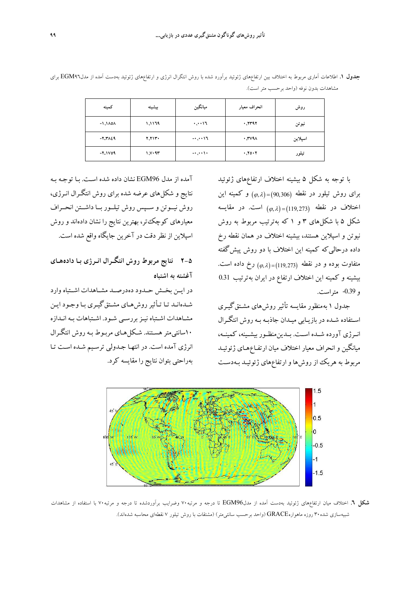| كمينه                          | بيشينه | ميانگين     | انحراف معيار | روش     |
|--------------------------------|--------|-------------|--------------|---------|
| $-1.1$ <sub>A0</sub> $\Lambda$ | 1,1179 | $\cdots$    | .7797        | نيوتن   |
| $-7.7129$                      | 7,713. | $-1, 11$    | .741         | اسپلاين |
| $-7.1$ Y 0 9                   | 1.1.97 | $-1$ , $+1$ | .70.7        | تيلور   |

**جدول .1** اطلاعات آماري مربوط به اختلاف بين ارتفاعهاي ژئوئيد برآورد شده با روش انتگرال انرژي و ارتفاعهاي ژئوئيد بهدست آمده از مدل96EGM براي مشاهدات بدون نوفه (واحد برحسب متر است).

با توجه به شكل 5 بيشينه اختلاف ارتفاعهاي ژئوئيد برای روش تيلور در نقطه (90,306)=(0, م) و كمينه اين . در مقايسه 119,273 , است اختلاف در نقطه شكل 5 با شكلهاي 3 و 1 كه بهترتيب مربوط به روش نيوتن و اسپلاين هستند، بيشينه اختلاف در همان نقطه رخ داده درحاليكه كمينه اين اختلاف با دو روش پيشگفته متفاوت بوده و در نقطه  $(\varphi, \lambda) = (119,273)$  رخ داده است. بيشينه و كمينه اين اختلاف ارتفاع در ايران بهترتيب 0.31 و -0.39 متراست.

جدول 1 به منظور مقايسه تأثير روشهاي مشـتقگيـري اسـتفاده شـده در بازيـابي ميـدان جاذبـه بـه روش انتگـرال انــرژي آورده شــده اســت. بــدينمنظــور بيشــينه، كمينــه، ميانگين و انحراف معيار اختلاف ميان ارتفـاعهـاي ژئوئيـد مربوط به هريك از روشها و ارتفاعهاي ژئوئيـد بـهدسـت

آمده از مدل 96EGM نشان داده شده اسـت. بـا توجـه بـه نتايج و شكلهاي عرضه شده براي روش انتگـرال انـرژي، روش نيــوتن و ســپس روش تيلــور بــا داشــتن انحــراف معيارهاي كوچكتر، بهترين نتايج را نشان دادهاند و روش اسپلاين از نظردقت در آخرين جايگاه واقع شده است.

**2-5 نتايج مربوط روش انتگـرال انـرژي بـا دادههـاي آغشته به اشتباه**

در ايــن بخــش حــدود دهدرصــد مشــاهدات اشــتباه وارد شـدهانـد تـا تـأثيرروشهـاي مشـتقگيـري بـاوجـود ايـن مشـاهدات اشـتباه نيـزبررسـي شـود. اشـتباهات بـه انـدازه 10سانتيمتر هسـتند. شـكلهـاي مربـوط بـه روش انتگـرال انرژي آمده است. در انتهـا جـدولي ترسـيم شـده اسـت تـا بهراحتي بتوان نتايج را مقايسه كرد.



**شكل .6** اختلاف ميان ارتفاعهاي ژئوئيد بهدست آمده از مدل96EGM تا درجه و مرتبه70 وضرايب برآوردشده تا درجه و مرتبه70 با استفاده از مشاهدات شبيهسازي شده30 روزه ماهوارهGRACE) واحد برحسب سانتيمتر) (مشتقات با روش تيلور 7 نقطهاي محاسبه شدهاند).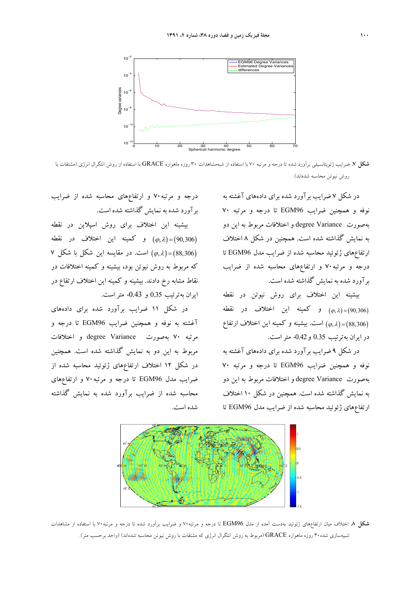

**شكل .7** ضرايب ژئوپتانسيلي برآورد شده تا درجه و مرتبه 70 با استفاده از شبهمشاهدات 30 روزه ماهواره GRACE با استفاده از روش انتگرال انرژي (مشتقات با روش نيوتن محاسبه شدهاند).

در شكل 7 ضرايب برآورد شده براي دادههاي آغشته به نوفه و همچنين ضرايب 96EGM تا درجه و مرتبه 70 بهصورت Variance degree و اختلافات مربوط به اين دو به نمايش گذاشته شده است. همچنين در شكل 8 اختلاف ارتفاعهاي ژئوئيد محاسبه شده از ضرايب مدل 96EGM تا درجه و مرتبه70 و ارتفاعهاي محاسبه شده از ضرايب برآورد شده به نمايش گذاشته شده است.

بيشينه اين اختلاف براي روش نيوتن در نقطه و كمينه اين اختلاف در نقطه ( $(\varphi, \lambda) = (90,306)$ است. بيشينه و كمينه اين اختلاف ارتفاع (88,306) در ايران بهترتيب 0.35 و-0.42 متراست.

در شكل 9 ضرايب برآورد شده براي دادههاي آغشته به نوفه و همچنين ضرايب 96EGM تا درجه و مرتبه 70 بهصورت Variance degree و اختلافات مربوط به اين دو به نمايش گذاشته شده است. همچنين در شكل 10 اختلاف ارتفاعهاي ژئوئيد محاسبه شده از ضرايب مدل 96EGM تا

درجه و مرتبه70 و ارتفاعهاي محاسبه شده از ضرايب برآورد شده به نمايش گذاشته شده است.

بيشينه اين اختلاف براي روش اسپلاين در نقطه و كمينه اين اختلاف در نقطه ( $(\varphi, \lambda) = (90, 306)$  88,306 , است. در مقايسه اين شكل با شكل 7 كه مربوط به روش نيوتن بود، بيشينه و كمينه اختلافات در نقاط مشابه رخ دادند. بيشينه و كمينه اين اختلاف ارتفاع در ايران بهترتيب 0.35 و -0.43 متراست.

در شكل 11 ضرايب برآورد شده براي دادههاي آغشته به نوفه و همچنين ضرايب 96EGM تا درجه و مرتبه 70 بهصورت Variance degree و اختلافات مربوط به اين دو به نمايش گذاشته شده است. همچنين در شكل 12 اختلاف ارتفاعهاي ژئوئيد محاسبه شده از ضرايب مدل 96EGM تا درجه و مرتبه70 و ارتفاعهاي محاسبه شده از ضرايب برآورد شده به نمايش گذاشته شده است.



**شكل .8** اختلاف ميان ارتفاعهاي ژئوئيد بهدست آمده از مدل 96EGM تا درجه و مرتبه70 و ضرايب برآورد شده تا درجه و مرتبه70 با استفاده از مشاهدات شبيهسازي شده30 روزه ماهواره GRACE) مربوط به روش انتگرال انرژي كه مشتقات با روش نيوتن محاسبه شدهاند) (واحد برحسب متر).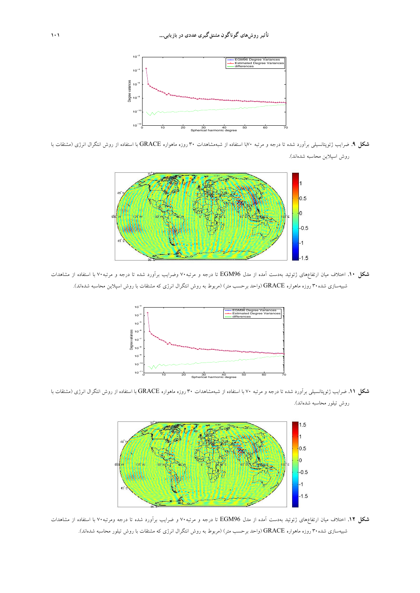

**شكل .9** ضرايب ژئوپتانسيلي برآورد شده تا درجه و مرتبه 70با استفاده از شبهمشاهدات 30 روزه ماهواره GRACE با استفاده از روش انتگرال انرژي (مشتقات با روش اسپلاين محاسبه شدهاند).



**شكل .10** اختلاف ميان ارتفاعهاي ژئوئيد بهدست آمده از مدل 96EGM تا درجه و مرتبه70 وضرايب برآورد شده تا درجه و مرتبه70 با استفاده از مشاهدات شبيهسازي شده30 روزه ماهواره GRACE) واحد برحسب متر) (مربوط به روش انتگرال انرژي كه مشتقات با روش اسپلاين محاسبه شدهاند).



**شكل .11** ضرايب ژئوپتانسيلي برآورد شده تا درجه و مرتبه 70 با استفاده از شبهمشاهدات 30 روزه ماهواره GRACE با استفاده از روش انتگرال انرژي (مشتقات با روش تيلور محاسبه شدهاند).



**شكل .12** اختلاف ميان ارتفاعهاي ژئوئيد بهدست آمده از مدل 96EGM تا درجه و مرتبه70 و ضرايب برآورد شده تا درجه ومرتبه70 با استفاده از مشاهدات شبيهسازي شده30 روزه ماهواره GRACE) واحد برحسب متر) (مربوط به روش انتگرال انرژي كه مشتقات با روش تيلور محاسبه شدهاند).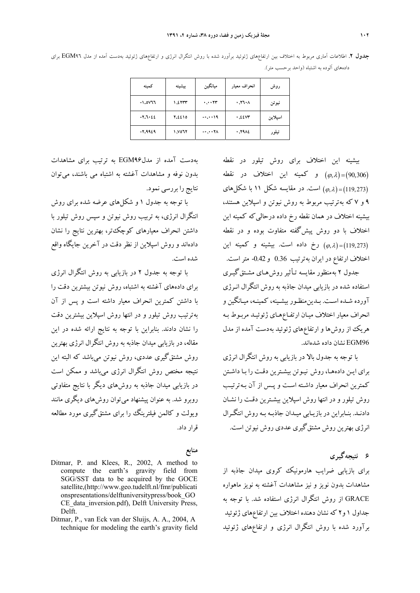**جدول .2** اطلاعات آماري مربوط به اختلاف بين ارتفاعهاي ژئوئيد برآورد شده با روش انتگرال انرژي و ارتفاعهاي ژئوئيد بهدست آمده از مدل 96EGM براي دادههاي آلوده به اشتباه (واحد برحسب متر).

| كمىنە     | بيشينه | ميانگين    | انحراف معيار | روش     |
|-----------|--------|------------|--------------|---------|
| -1.0777   | 1.2777 | $\cdots$ m | .77.1        | نيوتن   |
| $-7.7.22$ | 7.2210 | $-0.0019$  | .2207        | اسيلاين |
| -2.9929   | ۱.۷۵٦۲ | $-0.0000$  | .7912        | تيلور   |

بيشينه اين اختلاف براي روش تيلور در نقطه و كمينه اين اختلاف در نقطه ( $(\varphi, \lambda) = (90, 306)$ است. در مقايسه شكل 11 با شكلهاي  $(\varphi,\lambda)$ =(119,273) 9 و 7 كه بهترتيب مربوط به روش نيوتن و اسپلاين هستند، بيشينه اختلاف در همان نقطه رخ داده درحاليكه كمينه اين اختلاف با دو روش پيشگفته متفاوت بوده و در نقطه رخ داده است. بيشينه و كمينه اين ( $(\varphi, \lambda) = (119, 273)$ اختلاف ارتفاع در ايران بهترتيب 0.36 و-0.42 متراست.

جدول 2 به منظور مقايسه تـأثير روشهـاي مشـتقگيـري استفاده شده در بازيابي ميدان جاذبه به روش انتگرال انـرژي آورده شـده اسـت. بـدينمنظـور بيشـينه، كمينـه، ميـانگين و انحراف معيار اختلاف ميـان ارتفـاعهـاي ژئوئيـد مربـوط بـه هريك از روشها و ارتفاعهاي ژئوئيد بهدست آمده از مدل 96EGM نشان داده شدهاند.

با توجه به جدول بالا در بازيابي به روش انتگرال انرژي براي ايـن دادههـا، روش نيـوتن بيشـترين دقـت را بـا داشـتن كمترين انحراف معيار داشـته اسـت و پـس از آن بـه ترتيـب روش تيلور و در انتها روش اسپلاين بيشـترين دقـت را نشـان دادنـد. بنـابراين در بازيـابي ميـدان جاذبـه بـه روش انتگـرال انرژي بهترين روش مشتقگيري عددي روش نيوتن است.

**6 نتيجهگيري** 

براي بازيابي ضرايب هارمونيك كروي ميدان جاذبه از مشاهدات بدون نويز و نيز مشاهدات آغشته به نويز ماهواره GRACE از روش انتگرال انرژي استفاده شد. با توجه به جداول 1 و2 كه نشان دهنده اختلاف بين ارتفاعهاي ژئوئيد برآورد شده با روش انتگرال انرژي و ارتفاعهاي ژئوئيد

بهدست آمده از مدل96EGM به ترتيب براي مشاهدات بدون نوفه و مشاهدات آغشته به اشتباه مي باشند، ميتوان نتايج را بررسي نمود.

با توجه به جدول 1 و شكلهاي عرضه شده براي روش انتگرال انرژي، به تربيب روش نيوتن و سپس روش تيلور با داشتن انحراف معيارهاي كوچكتر، بهترين نتايج را نشان دادهاند و روش اسپلاين از نظر دقت در آخرين جايگاه واقع شده است.

با توجه به جدول 2 در بازيابي به روش انتگرال انرژي براي دادههاي آغشته به اشتباه، روش نيوتن بيشترين دقت را با داشتن كمترين انحراف معيار داشته است و پس از آن بهترتيب روش تيلور و در انتها روش اسپلاين بيشترين دقت را نشان دادند. بنابراين با توجه به نتايج ارائه شده در اين مقاله، در بازيابي ميدان جاذبه به روش انتگرال انرژي بهترين روش مشتقگيري عددي، روش نيوتن ميباشد كه البته اين نتيجه مختص روش انتگرال انرژي ميباشد و ممكن است در بازيابي ميدان جاذبه به روشهاي ديگر با نتايج متفاوتي روبرو شد. به عنوان پيشنهاد ميتوان روشهاي ديگري مانند ويولت و كالمن فيلترينگ را براي مشتقگيري مورد مطالعه قرار داد.

#### **منابع**

- Ditmar, P. and Klees, R., 2002, A method to compute the earth's gravity field from SGG/SST data to be acquired by the GOCE satellite,(http://www.geo.tudelft.nl/fmr/publicati onspresentations/delftuniversitypress/book\_GO CE data inversion.pdf), Delft University Press, Delft.
- Ditmar, P., van Eck van der Sluijs, A. A., 2004, A technique for modeling the earth's gravity field